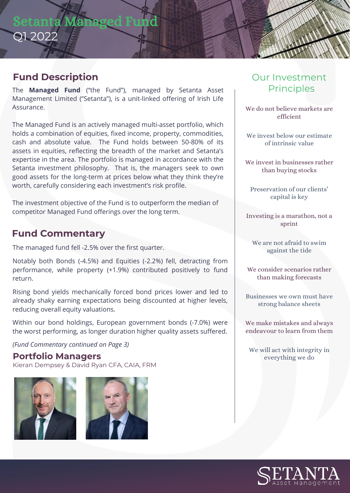# Setanta Ma Q1 2022

# **Fund Description**

The **Managed Fund** ("the Fund"), managed by Setanta Asset Management Limited ("Setanta"), is a unit-linked offering of Irish Life Assurance.

The Managed Fund is an actively managed multi-asset portfolio, which holds a combination of equities, fixed income, property, commodities, cash and absolute value. The Fund holds between 50-80% of its assets in equities, reflecting the breadth of the market and Setanta's expertise in the area. The portfolio is managed in accordance with the Setanta investment philosophy. That is, the managers seek to own good assets for the long-term at prices below what they think they're worth, carefully considering each investment's risk profile.

The investment objective of the Fund is to outperform the median of competitor Managed Fund offerings over the long term.

## **Fund Commentary**

The managed fund fell -2.5% over the first quarter.

Notably both Bonds (-4.5%) and Equities (-2.2%) fell, detracting from performance, while property (+1.9%) contributed positively to fund return.

Rising bond yields mechanically forced bond prices lower and led to already shaky earning expectations being discounted at higher levels, reducing overall equity valuations.

Within our bond holdings, European government bonds (-7.0%) were the worst performing, as longer duration higher quality assets suffered.

*(Fund Commentary continued on Page 3)*

### **Portfolio Managers**

Kieran Dempsey & David Ryan CFA, CAIA, FRM





# Our Investment **Principles**

We do not believe markets are efficient

We invest below our estimate of intrinsic value

We invest in businesses rather than buying stocks

Preservation of our clients' capital is key

Investing is a marathon, not a sprint

We are not afraid to swim against the tide

We consider scenarios rather than making forecasts

Businesses we own must have strong balance sheets

We make mistakes and always endeavour to learn from them

We will act with integrity in everything we do

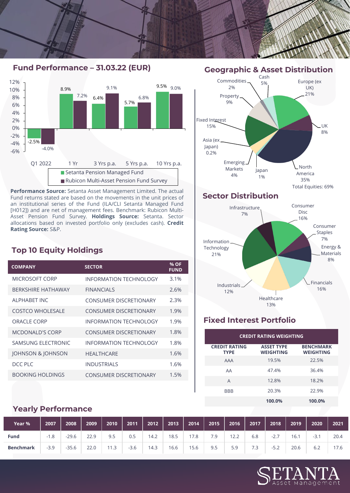



**Performance Source:** Setanta Asset Management Limited. The actual Fund returns stated are based on the movements in the unit prices of an institutional series of the Fund (ILA/CLI Setanta Managed Fund [H012]) and are net of management fees. Benchmark: Rubicon Multi-Asset Pension Fund Survey. **Holdings Source:** Setanta. Sector allocations based on invested portfolio only (excludes cash). **Credit Rating Source:** S&P.

### **Top 10 Equity Holdings**

| <b>COMPANY</b>               | <b>SECTOR</b>                 | % OF<br><b>FUND</b> |
|------------------------------|-------------------------------|---------------------|
| MICROSOFT CORP               | <b>INFORMATION TECHNOLOGY</b> | 3.1%                |
| <b>BERKSHIRE HATHAWAY</b>    | <b>FINANCIALS</b>             | 2.6%                |
| AI PHARFT INC                | <b>CONSUMER DISCRETIONARY</b> | 2.3%                |
| <b>COSTCO WHOLESALE</b>      | CONSUMER DISCRETIONARY        | 1.9%                |
| ORACLE CORP                  | INFORMATION TECHNOLOGY        | 1.9%                |
| <b>MCDONALD'S CORP</b>       | <b>CONSUMER DISCRETIONARY</b> | 1.8%                |
| SAMSUNG ELECTRONIC           | INFORMATION TECHNOLOGY        | 1.8%                |
| <b>JOHNSON &amp; JOHNSON</b> | <b>HFAITHCARF</b>             | 1.6%                |
| DCC PLC                      | <b>INDUSTRIALS</b>            | 1.6%                |
| <b>BOOKING HOLDINGS</b>      | <b>CONSUMER DISCRETIONARY</b> | 1.5%                |

## **Geographic & Asset Distribution**



### **Sector Distribution**



### **Fixed Interest Portfolio**

| <b>CREDIT RATING WEIGHTING</b>      |                                       |                                      |  |  |  |  |
|-------------------------------------|---------------------------------------|--------------------------------------|--|--|--|--|
| <b>CREDIT RATING</b><br><b>TYPE</b> | <b>ASSET TYPE</b><br><b>WEIGHTING</b> | <b>BENCHMARK</b><br><b>WEIGHTING</b> |  |  |  |  |
| <b>AAA</b>                          | 19.5%                                 | 22.5%                                |  |  |  |  |
| AA                                  | 47.4%                                 | 36.4%                                |  |  |  |  |
| A                                   | 12.8%                                 | 18.2%                                |  |  |  |  |
| <b>BBB</b>                          | 20.3%                                 | 22.9%                                |  |  |  |  |
|                                     | 100.0%                                | 100.0%                               |  |  |  |  |

### **Yearly Performance**

| Year %           | 2007   | 2008    | 2009 | 2010                      | 2011   | 2012 | 2013 | 2014 | 2015 | 2016 | 2017 | 2018  | 2019 | 2020   | 2021 |
|------------------|--------|---------|------|---------------------------|--------|------|------|------|------|------|------|-------|------|--------|------|
| <b>Fund</b>      | $-1.8$ | $-29.6$ | 22.9 | 9.5                       | 0.5    | 14.2 | 18.5 | 17.8 | 7.9  | 12.2 | 6.8  | -2. . | 16.1 | $-3.1$ | 20.4 |
| <b>Benchmark</b> | $-3.9$ | $-35.6$ | 22.0 | っ<br>$^{\circ}$ 1<br>د. ا | $-3.6$ | 14.3 | 16.6 | 15.6 | 9.5  | 5.9  | 7.3  | ے.כ-  | 20.6 | 6.2    | 17.6 |

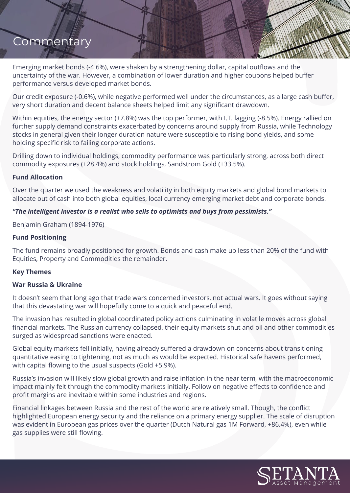Emerging market bonds (-4.6%), were shaken by a strengthening dollar, capital outflows and the uncertainty of the war. However, a combination of lower duration and higher coupons helped buffer performance versus developed market bonds.

Our credit exposure (-0.6%), while negative performed well under the circumstances, as a large cash buffer, very short duration and decent balance sheets helped limit any significant drawdown.

Within equities, the energy sector (+7.8%) was the top performer, with I.T. lagging (-8.5%). Energy rallied on further supply demand constraints exacerbated by concerns around supply from Russia, while Technology stocks in general given their longer duration nature were susceptible to rising bond yields, and some holding specific risk to failing corporate actions.

Drilling down to individual holdings, commodity performance was particularly strong, across both direct commodity exposures (+28.4%) and stock holdings, Sandstrom Gold (+33.5%).

#### **Fund Allocation**

Over the quarter we used the weakness and volatility in both equity markets and global bond markets to allocate out of cash into both global equities, local currency emerging market debt and corporate bonds.

#### *"The intelligent investor is a realist who sells to optimists and buys from pessimists."*

Benjamin Graham (1894-1976)

#### **Fund Positioning**

The fund remains broadly positioned for growth. Bonds and cash make up less than 20% of the fund with Equities, Property and Commodities the remainder.

#### **Key Themes**

#### **War Russia & Ukraine**

It doesn't seem that long ago that trade wars concerned investors, not actual wars. It goes without saying that this devastating war will hopefully come to a quick and peaceful end.

The invasion has resulted in global coordinated policy actions culminating in volatile moves across global financial markets. The Russian currency collapsed, their equity markets shut and oil and other commodities surged as widespread sanctions were enacted.

Global equity markets fell initially, having already suffered a drawdown on concerns about transitioning quantitative easing to tightening, not as much as would be expected. Historical safe havens performed, with capital flowing to the usual suspects (Gold +5.9%).

Russia's invasion will likely slow global growth and raise inflation in the near term, with the macroeconomic impact mainly felt through the commodity markets initially. Follow on negative effects to confidence and profit margins are inevitable within some industries and regions.

Financial linkages between Russia and the rest of the world are relatively small. Though, the conflict highlighted European energy security and the reliance on a primary energy supplier. The scale of disruption was evident in European gas prices over the quarter (Dutch Natural gas 1M Forward, +86.4%), even while gas supplies were still flowing.

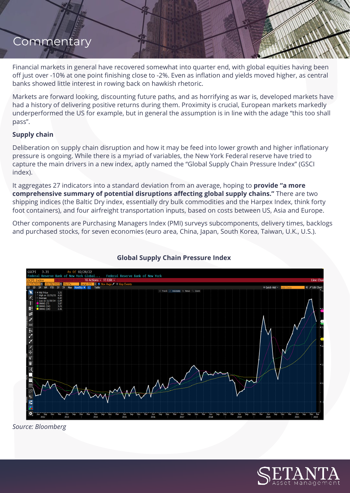Financial markets in general have recovered somewhat into quarter end, with global equities having been off just over -10% at one point finishing close to -2%. Even as inflation and yields moved higher, as central banks showed little interest in rowing back on hawkish rhetoric.

Markets are forward looking, discounting future paths, and as horrifying as war is, developed markets have had a history of delivering positive returns during them. Proximity is crucial, European markets markedly underperformed the US for example, but in general the assumption is in line with the adage "this too shall pass".

#### **Supply chain**

Deliberation on supply chain disruption and how it may be feed into lower growth and higher inflationary pressure is ongoing. While there is a myriad of variables, the New York Federal reserve have tried to capture the main drivers in a new index, aptly named the "Global Supply Chain Pressure Index" (GSCI index).

It aggregates 27 indicators into a standard deviation from an average, hoping to **provide "a more comprehensive summary of potential disruptions affecting global supply chains."** There are two shipping indices (the Baltic Dry index, essentially dry bulk commodities and the Harpex Index, think forty foot containers), and four airfreight transportation inputs, based on costs between US, Asia and Europe.

Other components are Purchasing Managers Index (PMI) surveys subcomponents, delivery times, backlogs and purchased stocks, for seven economies (euro area, China, Japan, South Korea, Taiwan, U.K., U.S.).



### **Global Supply Chain Pressure Index**

*Source: Bloomberg*

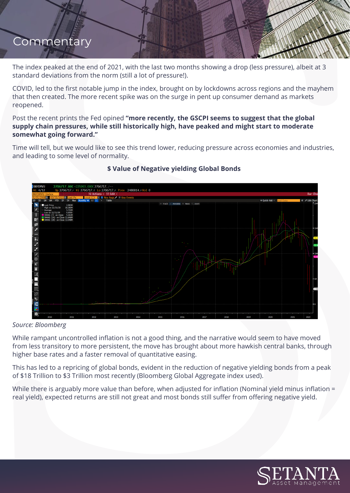The index peaked at the end of 2021, with the last two months showing a drop (less pressure), albeit at 3 standard deviations from the norm (still a lot of pressure!).

COVID, led to the first notable jump in the index, brought on by lockdowns across regions and the mayhem that then created. The more recent spike was on the surge in pent up consumer demand as markets reopened.

Post the recent prints the Fed opined **"more recently, the GSCPI seems to suggest that the global supply chain pressures, while still historically high, have peaked and might start to moderate somewhat going forward."**

Time will tell, but we would like to see this trend lower, reducing pressure across economies and industries, and leading to some level of normality.



### **\$ Value of Negative yielding Global Bonds**

#### *Source: Bloomberg*

While rampant uncontrolled inflation is not a good thing, and the narrative would seem to have moved from less transitory to more persistent, the move has brought about more hawkish central banks, through higher base rates and a faster removal of quantitative easing.

This has led to a repricing of global bonds, evident in the reduction of negative yielding bonds from a peak of \$18 Trillion to \$3 Trillion most recently (Bloomberg Global Aggregate index used).

While there is arguably more value than before, when adjusted for inflation (Nominal yield minus inflation = real yield), expected returns are still not great and most bonds still suffer from offering negative yield.

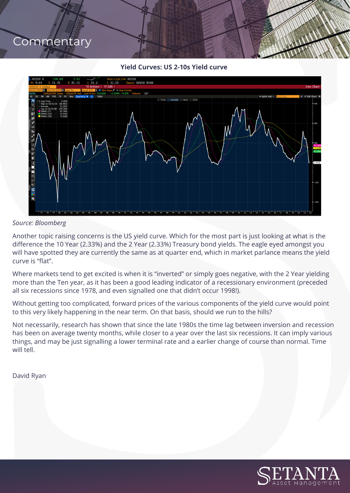**Yield Curves: US 2-10s Yield curve**



#### *Source: Bloomberg*

Another topic raising concerns is the US yield curve. Which for the most part is just looking at what is the difference the 10 Year (2.33%) and the 2 Year (2.33%) Treasury bond yields. The eagle eyed amongst you will have spotted they are currently the same as at quarter end, which in market parlance means the yield curve is "flat".

Where markets tend to get excited is when it is "inverted" or simply goes negative, with the 2 Year yielding more than the Ten year, as it has been a good leading indicator of a recessionary environment (preceded all six recessions since 1978, and even signalled one that didn't occur 1998!).

Without getting too complicated, forward prices of the various components of the yield curve would point to this very likely happening in the near term. On that basis, should we run to the hills?

Not necessarily, research has shown that since the late 1980s the time lag between inversion and recession has been on average twenty months, while closer to a year over the last six recessions. It can imply various things, and may be just signalling a lower terminal rate and a earlier change of course than normal. Time will tell.

David Ryan